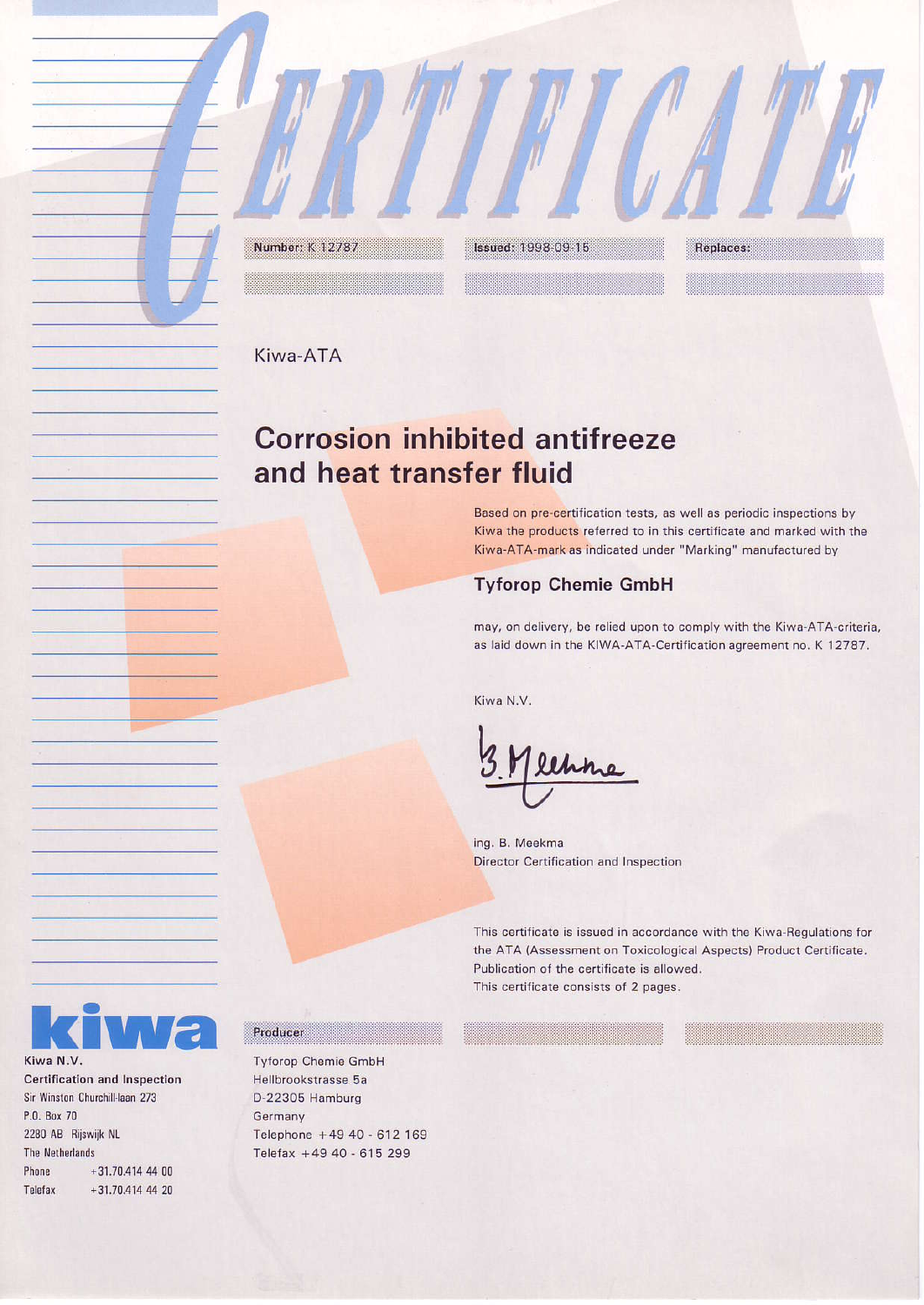Kiwa-ATA

Number: K 12787

# **Corrosion inhibited antifreeze** and heat transfer fluid

**Issued: 1998-09-15** 

Based on pre-certification tests, as well as periodic inspections by Kiwa the products referred to in this certificate and marked with the Kiwa-ATA-mark as indicated under "Marking" manufactured by

Replaces:

## **Tyforop Chemie GmbH**

may, on delivery, be relied upon to comply with the Kiwa-ATA-criteria, as laid down in the KIWA-ATA-Certification agreement no. K 12787.

Kiwa N.V.

ing. B. Meekma Director Certification and Inspection

This certificate is issued in accordance with the Kiwa-Regulations for the ATA (Assessment on Toxicological Aspects) Product Certificate. Publication of the certificate is allowed. This certificate consists of 2 pages.



**Certification and Inspection** Sir Winston Churchill-laan 273 P.O. Box 70 2280 AB Rijswijk NL The Netherlands Phone +31.70.414 44 00  $+31.70.414$  44 20 Telefax

### Producer

**Tyforop Chemie GmbH** Hellbrookstrasse 5a D-22305 Hamburg Germany Telephone +49 40 - 612 169 Telefax +49 40 - 615 299